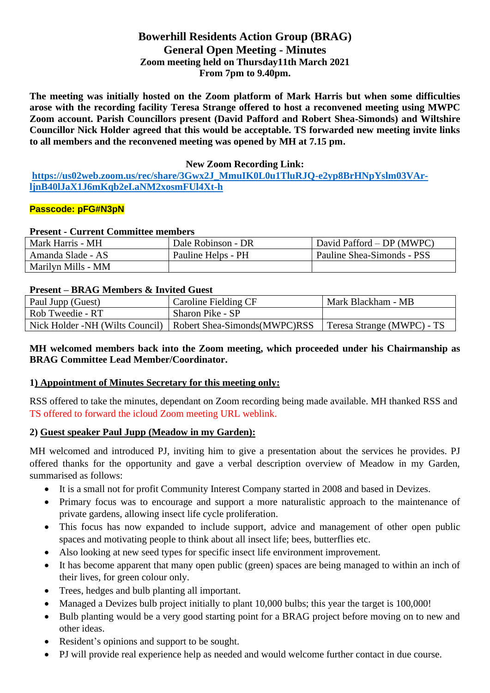# **Bowerhill Residents Action Group (BRAG) General Open Meeting - Minutes Zoom meeting held on Thursday11th March 2021 From 7pm to 9.40pm.**

**The meeting was initially hosted on the Zoom platform of Mark Harris but when some difficulties arose with the recording facility Teresa Strange offered to host a reconvened meeting using MWPC Zoom account. Parish Councillors present (David Pafford and Robert Shea-Simonds) and Wiltshire Councillor Nick Holder agreed that this would be acceptable. TS forwarded new meeting invite links to all members and the reconvened meeting was opened by MH at 7.15 pm.**

### **New Zoom Recording Link:**

**[https://us02web.zoom.us/rec/share/3Gwx2J\\_MmuIK0L0u1TluRJQ-e2yp8BrHNpYslm03VAr](https://us02web.zoom.us/rec/share/3Gwx2J_MmuIK0L0u1TluRJQ-e2yp8BrHNpYslm03VAr-ljnB40lJaX1J6mKqb2eI.aNM2xosmFUl4Xt-h)[ljnB40lJaX1J6mKqb2eI.aNM2xosmFUl4Xt-h](https://us02web.zoom.us/rec/share/3Gwx2J_MmuIK0L0u1TluRJQ-e2yp8BrHNpYslm03VAr-ljnB40lJaX1J6mKqb2eI.aNM2xosmFUl4Xt-h)**

### **Passcode: pFG#N3pN**

### **Present - Current Committee members**

| Mark Harris - MH   | Dale Robinson - DR | David Pafford – DP (MWPC)  |
|--------------------|--------------------|----------------------------|
| Amanda Slade - AS  | Pauline Helps - PH | Pauline Shea-Simonds - PSS |
| Marilyn Mills - MM |                    |                            |

### **Present – BRAG Members & Invited Guest**

| Paul Jupp (Guest) | Caroline Fielding CF                                            | Mark Blackham - MB         |
|-------------------|-----------------------------------------------------------------|----------------------------|
| Rob Tweedie - RT  | Sharon Pike - SP                                                |                            |
|                   | Nick Holder -NH (Wilts Council)   Robert Shea-Simonds (MWPC)RSS | Teresa Strange (MWPC) - TS |

## **MH welcomed members back into the Zoom meeting, which proceeded under his Chairmanship as BRAG Committee Lead Member/Coordinator.**

### **1) Appointment of Minutes Secretary for this meeting only:**

RSS offered to take the minutes, dependant on Zoom recording being made available. MH thanked RSS and TS offered to forward the icloud Zoom meeting URL weblink.

## **2) Guest speaker Paul Jupp (Meadow in my Garden):**

MH welcomed and introduced PJ, inviting him to give a presentation about the services he provides. PJ offered thanks for the opportunity and gave a verbal description overview of Meadow in my Garden, summarised as follows:

- It is a small not for profit Community Interest Company started in 2008 and based in Devizes.
- Primary focus was to encourage and support a more naturalistic approach to the maintenance of private gardens, allowing insect life cycle proliferation.
- This focus has now expanded to include support, advice and management of other open public spaces and motivating people to think about all insect life; bees, butterflies etc.
- Also looking at new seed types for specific insect life environment improvement.
- It has become apparent that many open public (green) spaces are being managed to within an inch of their lives, for green colour only.
- Trees, hedges and bulb planting all important.
- Managed a Devizes bulb project initially to plant 10,000 bulbs; this year the target is 100,000!
- Bulb planting would be a very good starting point for a BRAG project before moving on to new and other ideas.
- Resident's opinions and support to be sought.
- PJ will provide real experience help as needed and would welcome further contact in due course.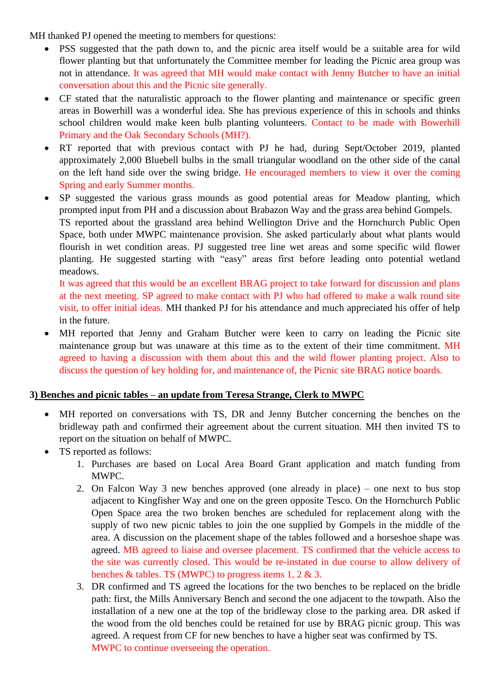MH thanked PJ opened the meeting to members for questions:

- PSS suggested that the path down to, and the picnic area itself would be a suitable area for wild flower planting but that unfortunately the Committee member for leading the Picnic area group was not in attendance. It was agreed that MH would make contact with Jenny Butcher to have an initial conversation about this and the Picnic site generally.
- CF stated that the naturalistic approach to the flower planting and maintenance or specific green areas in Bowerhill was a wonderful idea. She has previous experience of this in schools and thinks school children would make keen bulb planting volunteers. Contact to be made with Bowerhill Primary and the Oak Secondary Schools (MH?).
- RT reported that with previous contact with PJ he had, during Sept/October 2019, planted approximately 2,000 Bluebell bulbs in the small triangular woodland on the other side of the canal on the left hand side over the swing bridge. He encouraged members to view it over the coming Spring and early Summer months.
- SP suggested the various grass mounds as good potential areas for Meadow planting, which prompted input from PH and a discussion about Brabazon Way and the grass area behind Gompels. TS reported about the grassland area behind Wellington Drive and the Hornchurch Public Open Space, both under MWPC maintenance provision. She asked particularly about what plants would flourish in wet condition areas. PJ suggested tree line wet areas and some specific wild flower planting. He suggested starting with "easy" areas first before leading onto potential wetland meadows.

It was agreed that this would be an excellent BRAG project to take forward for discussion and plans at the next meeting. SP agreed to make contact with PJ who had offered to make a walk round site visit, to offer initial ideas. MH thanked PJ for his attendance and much appreciated his offer of help in the future.

MH reported that Jenny and Graham Butcher were keen to carry on leading the Picnic site maintenance group but was unaware at this time as to the extent of their time commitment. MH agreed to having a discussion with them about this and the wild flower planting project. Also to discuss the question of key holding for, and maintenance of, the Picnic site BRAG notice boards.

# **3) Benches and picnic tables – an update from Teresa Strange, Clerk to MWPC**

- MH reported on conversations with TS, DR and Jenny Butcher concerning the benches on the bridleway path and confirmed their agreement about the current situation. MH then invited TS to report on the situation on behalf of MWPC.
- TS reported as follows:
	- 1. Purchases are based on Local Area Board Grant application and match funding from MWPC.
	- 2. On Falcon Way 3 new benches approved (one already in place) one next to bus stop adjacent to Kingfisher Way and one on the green opposite Tesco. On the Hornchurch Public Open Space area the two broken benches are scheduled for replacement along with the supply of two new picnic tables to join the one supplied by Gompels in the middle of the area. A discussion on the placement shape of the tables followed and a horseshoe shape was agreed. MB agreed to liaise and oversee placement. TS confirmed that the vehicle access to the site was currently closed. This would be re-instated in due course to allow delivery of benches & tables. TS (MWPC) to progress items 1, 2 & 3.
	- 3. DR confirmed and TS agreed the locations for the two benches to be replaced on the bridle path: first, the Mills Anniversary Bench and second the one adjacent to the towpath. Also the installation of a new one at the top of the bridleway close to the parking area. DR asked if the wood from the old benches could be retained for use by BRAG picnic group. This was agreed. A request from CF for new benches to have a higher seat was confirmed by TS. MWPC to continue overseeing the operation.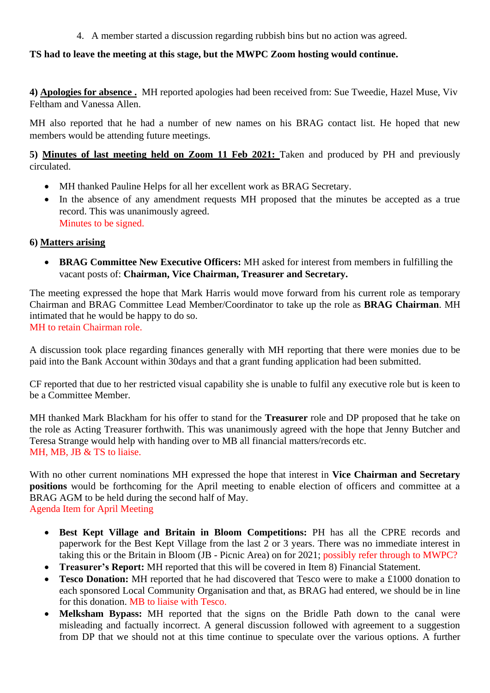4. A member started a discussion regarding rubbish bins but no action was agreed.

# **TS had to leave the meeting at this stage, but the MWPC Zoom hosting would continue.**

**4) Apologies for absence .** MH reported apologies had been received from: Sue Tweedie, Hazel Muse, Viv Feltham and Vanessa Allen.

MH also reported that he had a number of new names on his BRAG contact list. He hoped that new members would be attending future meetings.

**5) Minutes of last meeting held on Zoom 11 Feb 2021:** Taken and produced by PH and previously circulated.

- MH thanked Pauline Helps for all her excellent work as BRAG Secretary.
- In the absence of any amendment requests MH proposed that the minutes be accepted as a true record. This was unanimously agreed. Minutes to be signed.

## **6) Matters arising**

• **BRAG Committee New Executive Officers:** MH asked for interest from members in fulfilling the vacant posts of: **Chairman, Vice Chairman, Treasurer and Secretary.**

The meeting expressed the hope that Mark Harris would move forward from his current role as temporary Chairman and BRAG Committee Lead Member/Coordinator to take up the role as **BRAG Chairman**. MH intimated that he would be happy to do so. MH to retain Chairman role.

A discussion took place regarding finances generally with MH reporting that there were monies due to be paid into the Bank Account within 30days and that a grant funding application had been submitted.

CF reported that due to her restricted visual capability she is unable to fulfil any executive role but is keen to be a Committee Member.

MH thanked Mark Blackham for his offer to stand for the **Treasurer** role and DP proposed that he take on the role as Acting Treasurer forthwith. This was unanimously agreed with the hope that Jenny Butcher and Teresa Strange would help with handing over to MB all financial matters/records etc. MH, MB, JB & TS to liaise.

With no other current nominations MH expressed the hope that interest in **Vice Chairman and Secretary positions** would be forthcoming for the April meeting to enable election of officers and committee at a BRAG AGM to be held during the second half of May. Agenda Item for April Meeting

- **Best Kept Village and Britain in Bloom Competitions:** PH has all the CPRE records and paperwork for the Best Kept Village from the last 2 or 3 years. There was no immediate interest in taking this or the Britain in Bloom (JB - Picnic Area) on for 2021; possibly refer through to MWPC?
- **Treasurer's Report:** MH reported that this will be covered in Item 8) Financial Statement.
- **Tesco Donation:** MH reported that he had discovered that Tesco were to make a £1000 donation to each sponsored Local Community Organisation and that, as BRAG had entered, we should be in line for this donation. MB to liaise with Tesco.
- **Melksham Bypass:** MH reported that the signs on the Bridle Path down to the canal were misleading and factually incorrect. A general discussion followed with agreement to a suggestion from DP that we should not at this time continue to speculate over the various options. A further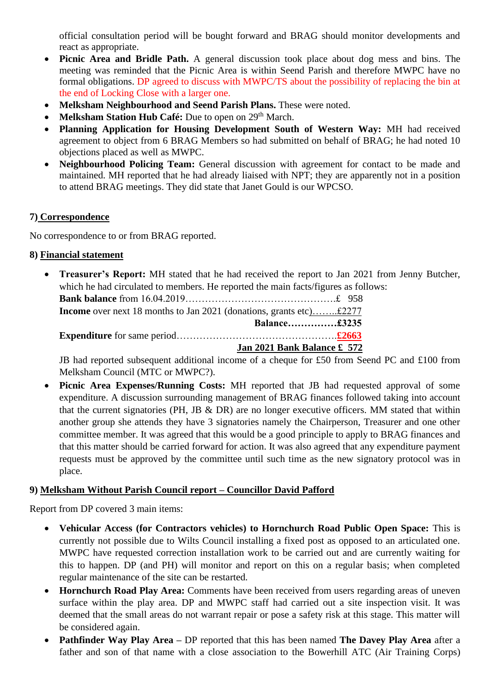official consultation period will be bought forward and BRAG should monitor developments and react as appropriate.

- **Picnic Area and Bridle Path.** A general discussion took place about dog mess and bins. The meeting was reminded that the Picnic Area is within Seend Parish and therefore MWPC have no formal obligations. DP agreed to discuss with MWPC/TS about the possibility of replacing the bin at the end of Locking Close with a larger one.
- **Melksham Neighbourhood and Seend Parish Plans.** These were noted.
- **Melksham Station Hub Café:** Due to open on 29<sup>th</sup> March.
- **Planning Application for Housing Development South of Western Way:** MH had received agreement to object from 6 BRAG Members so had submitted on behalf of BRAG; he had noted 10 objections placed as well as MWPC.
- **Neighbourhood Policing Team:** General discussion with agreement for contact to be made and maintained. MH reported that he had already liaised with NPT; they are apparently not in a position to attend BRAG meetings. They did state that Janet Gould is our WPCSO.

# **7) Correspondence**

No correspondence to or from BRAG reported.

# **8) Financial statement**

• **Treasurer's Report:** MH stated that he had received the report to Jan 2021 from Jenny Butcher, which he had circulated to members. He reported the main facts/figures as follows: **Bank balance** from 16.04.2019……………………………………….£ 958 **Income** over next 18 months to Jan 2021 (donations, grants etc)……..£2277  **Balance……………£3235 Expenditure** for same period………………………………………….**£2663 Jan 2021 Bank Balance £ 572**

JB had reported subsequent additional income of a cheque for £50 from Seend PC and £100 from Melksham Council (MTC or MWPC?).

• **Picnic Area Expenses/Running Costs:** MH reported that JB had requested approval of some expenditure. A discussion surrounding management of BRAG finances followed taking into account that the current signatories (PH, JB  $\&$  DR) are no longer executive officers. MM stated that within another group she attends they have 3 signatories namely the Chairperson, Treasurer and one other committee member. It was agreed that this would be a good principle to apply to BRAG finances and that this matter should be carried forward for action. It was also agreed that any expenditure payment requests must be approved by the committee until such time as the new signatory protocol was in place.

# **9) Melksham Without Parish Council report – Councillor David Pafford**

Report from DP covered 3 main items:

- **Vehicular Access (for Contractors vehicles) to Hornchurch Road Public Open Space:** This is currently not possible due to Wilts Council installing a fixed post as opposed to an articulated one. MWPC have requested correction installation work to be carried out and are currently waiting for this to happen. DP (and PH) will monitor and report on this on a regular basis; when completed regular maintenance of the site can be restarted.
- **Hornchurch Road Play Area:** Comments have been received from users regarding areas of uneven surface within the play area. DP and MWPC staff had carried out a site inspection visit. It was deemed that the small areas do not warrant repair or pose a safety risk at this stage. This matter will be considered again.
- **Pathfinder Way Play Area –** DP reported that this has been named **The Davey Play Area** after a father and son of that name with a close association to the Bowerhill ATC (Air Training Corps)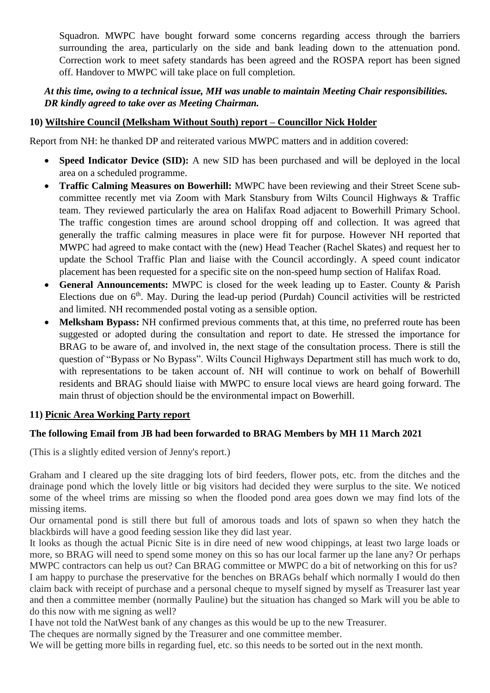Squadron. MWPC have bought forward some concerns regarding access through the barriers surrounding the area, particularly on the side and bank leading down to the attenuation pond. Correction work to meet safety standards has been agreed and the ROSPA report has been signed off. Handover to MWPC will take place on full completion.

# *At this time, owing to a technical issue, MH was unable to maintain Meeting Chair responsibilities. DR kindly agreed to take over as Meeting Chairman.*

# **10) Wiltshire Council (Melksham Without South) report – Councillor Nick Holder**

Report from NH: he thanked DP and reiterated various MWPC matters and in addition covered:

- **Speed Indicator Device (SID):** A new SID has been purchased and will be deployed in the local area on a scheduled programme.
- **Traffic Calming Measures on Bowerhill:** MWPC have been reviewing and their Street Scene subcommittee recently met via Zoom with Mark Stansbury from Wilts Council Highways & Traffic team. They reviewed particularly the area on Halifax Road adjacent to Bowerhill Primary School. The traffic congestion times are around school dropping off and collection. It was agreed that generally the traffic calming measures in place were fit for purpose. However NH reported that MWPC had agreed to make contact with the (new) Head Teacher (Rachel Skates) and request her to update the School Traffic Plan and liaise with the Council accordingly. A speed count indicator placement has been requested for a specific site on the non-speed hump section of Halifax Road.
- **General Announcements:** MWPC is closed for the week leading up to Easter. County & Parish Elections due on  $6<sup>th</sup>$ . May. During the lead-up period (Purdah) Council activities will be restricted and limited. NH recommended postal voting as a sensible option.
- **Melksham Bypass:** NH confirmed previous comments that, at this time, no preferred route has been suggested or adopted during the consultation and report to date. He stressed the importance for BRAG to be aware of, and involved in, the next stage of the consultation process. There is still the question of "Bypass or No Bypass". Wilts Council Highways Department still has much work to do, with representations to be taken account of. NH will continue to work on behalf of Bowerhill residents and BRAG should liaise with MWPC to ensure local views are heard going forward. The main thrust of objection should be the environmental impact on Bowerhill.

## **11) Picnic Area Working Party report**

### **The following Email from JB had been forwarded to BRAG Members by MH 11 March 2021**

(This is a slightly edited version of Jenny's report.)

Graham and I cleared up the site dragging lots of bird feeders, flower pots, etc. from the ditches and the drainage pond which the lovely little or big visitors had decided they were surplus to the site. We noticed some of the wheel trims are missing so when the flooded pond area goes down we may find lots of the missing items.

Our ornamental pond is still there but full of amorous toads and lots of spawn so when they hatch the blackbirds will have a good feeding session like they did last year.

It looks as though the actual Picnic Site is in dire need of new wood chippings, at least two large loads or more, so BRAG will need to spend some money on this so has our local farmer up the lane any? Or perhaps MWPC contractors can help us out? Can BRAG committee or MWPC do a bit of networking on this for us? I am happy to purchase the preservative for the benches on BRAGs behalf which normally I would do then claim back with receipt of purchase and a personal cheque to myself signed by myself as Treasurer last year and then a committee member (normally Pauline) but the situation has changed so Mark will you be able to do this now with me signing as well?

I have not told the NatWest bank of any changes as this would be up to the new Treasurer.

The cheques are normally signed by the Treasurer and one committee member.

We will be getting more bills in regarding fuel, etc. so this needs to be sorted out in the next month.